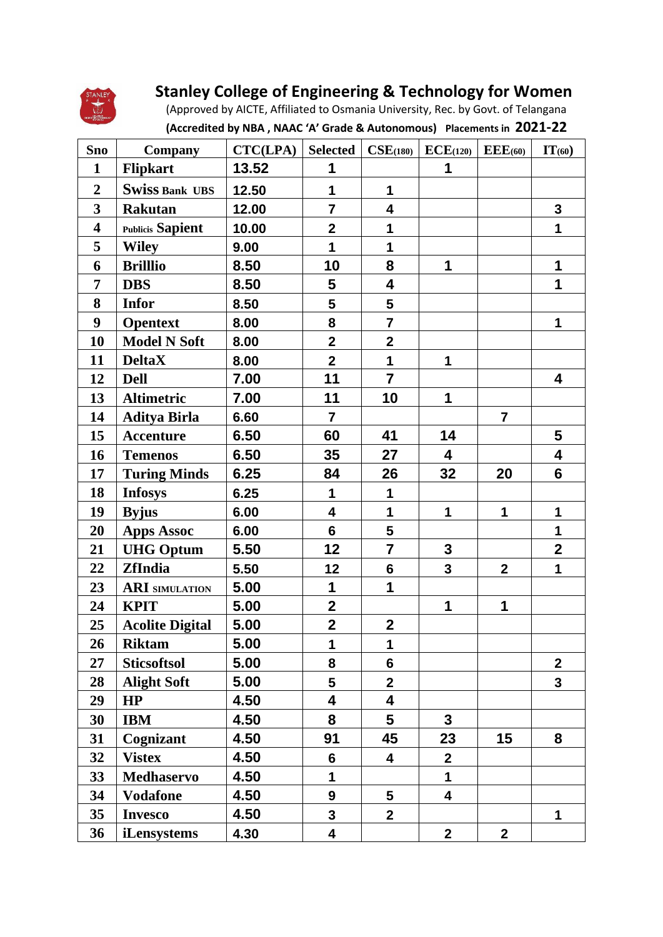

## **Stanley College of Engineering & Technology for Women**

 (Approved by AICTE, Affiliated to Osmania University, Rec. by Govt. of Telangana  **(Accredited by NBA , NAAC 'A' Grade & Autonomous) Placements in 2021-22**

| <b>Sno</b>              | <b>Company</b>          | CTC(LPA) | <b>Selected</b>         |                         | $CSE(180)$ $ECE(120)$ $EEE(60)$ |                | IT(60)                  |
|-------------------------|-------------------------|----------|-------------------------|-------------------------|---------------------------------|----------------|-------------------------|
| $\mathbf{1}$            | <b>Flipkart</b>         | 13.52    | 1                       |                         | 1                               |                |                         |
| $\boldsymbol{2}$        | <b>Swiss Bank UBS</b>   | 12.50    | 1                       | 1                       |                                 |                |                         |
| $\mathbf{3}$            | <b>Rakutan</b>          | 12.00    | $\overline{\mathbf{7}}$ | 4                       |                                 |                | $\mathbf{3}$            |
| $\overline{\mathbf{4}}$ | <b>Publicis Sapient</b> | 10.00    | $\mathbf{2}$            | 1                       |                                 |                | $\mathbf{1}$            |
| 5                       | <b>Wiley</b>            | 9.00     | $\mathbf 1$             | 1                       |                                 |                |                         |
| 6                       | <b>Brilllio</b>         | 8.50     | 10                      | 8                       | 1                               |                | 1                       |
| 7                       | <b>DBS</b>              | 8.50     | 5                       | $\overline{\mathbf{4}}$ |                                 |                | 1                       |
| 8                       | <b>Infor</b>            | 8.50     | $5\phantom{1}$          | 5                       |                                 |                |                         |
| $\boldsymbol{9}$        | <b>Opentext</b>         | 8.00     | 8                       | $\overline{\mathbf{7}}$ |                                 |                | 1                       |
| 10                      | <b>Model N Soft</b>     | 8.00     | $\overline{2}$          | $\mathbf{2}$            |                                 |                |                         |
| 11                      | <b>DeltaX</b>           | 8.00     | $\mathbf{2}$            | $\mathbf{1}$            | 1                               |                |                         |
| 12                      | <b>Dell</b>             | 7.00     | 11                      | $\overline{7}$          |                                 |                | $\overline{\mathbf{4}}$ |
| 13                      | <b>Altimetric</b>       | 7.00     | 11                      | 10                      | 1                               |                |                         |
| 14                      | <b>Aditya Birla</b>     | 6.60     | $\overline{7}$          |                         |                                 | $\overline{7}$ |                         |
| 15                      | <b>Accenture</b>        | 6.50     | 60                      | 41                      | 14                              |                | 5                       |
| 16                      | <b>Temenos</b>          | 6.50     | 35                      | 27                      | $\overline{\mathbf{4}}$         |                | $\overline{\mathbf{4}}$ |
| 17                      | <b>Turing Minds</b>     | 6.25     | 84                      | 26                      | 32                              | 20             | $6\phantom{a}$          |
| 18                      | <b>Infosys</b>          | 6.25     | $\mathbf 1$             | 1                       |                                 |                |                         |
| 19                      | <b>Byjus</b>            | 6.00     | 4                       | 1                       | 1                               | $\mathbf{1}$   | 1                       |
| 20                      | <b>Apps Assoc</b>       | 6.00     | $6\phantom{a}$          | 5                       |                                 |                | $\mathbf 1$             |
| 21                      | <b>UHG Optum</b>        | 5.50     | 12                      | $\overline{7}$          | $\mathbf 3$                     |                | $\overline{2}$          |
| 22                      | <b>ZfIndia</b>          | 5.50     | 12                      | $6\phantom{1}$          | $\mathbf{3}$                    | $\mathbf{2}$   | 1                       |
| 23                      | <b>ARI</b> SIMULATION   | 5.00     | 1                       | 1                       |                                 |                |                         |
| 24                      | <b>KPIT</b>             | 5.00     | $\mathbf 2$             |                         | 1                               | 1              |                         |
| 25                      | <b>Acolite Digital</b>  | 5.00     | $\mathbf{2}$            | $\mathbf 2$             |                                 |                |                         |
| 26                      | <b>Riktam</b>           | 5.00     | 1                       | 1                       |                                 |                |                         |
| 27                      | <b>Sticsoftsol</b>      | 5.00     | 8                       | $6\phantom{a}$          |                                 |                | $\mathbf{2}$            |
| 28                      | <b>Alight Soft</b>      | 5.00     | 5                       | $\mathbf{2}$            |                                 |                | $\mathbf{3}$            |
| 29                      | HP                      | 4.50     | $\overline{\mathbf{4}}$ | $\overline{\mathbf{4}}$ |                                 |                |                         |
| 30                      | <b>IBM</b>              | 4.50     | 8                       | $5\overline{)}$         | $\mathbf{3}$                    |                |                         |
| 31                      | Cognizant               | 4.50     | 91                      | 45                      | 23                              | 15             | 8                       |
| 32                      | <b>Vistex</b>           | 4.50     | $6\phantom{1}$          | 4                       | $\overline{2}$                  |                |                         |
| 33                      | <b>Medhaservo</b>       | 4.50     | 1                       |                         | 1                               |                |                         |
| 34                      | <b>Vodafone</b>         | 4.50     | 9                       | 5                       | 4                               |                |                         |
| 35                      | <b>Invesco</b>          | 4.50     | $\mathbf{3}$            | $\overline{2}$          |                                 |                | 1                       |
| 36                      | iLensystems             | 4.30     | 4                       |                         | $\mathbf{2}$                    | $\mathbf{2}$   |                         |